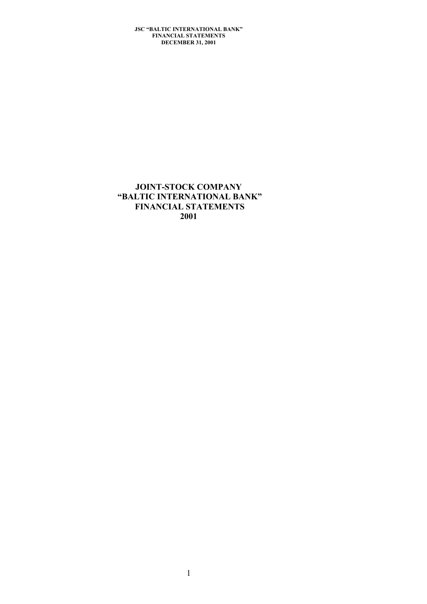# **JOINT-STOCK COMPANY "BALTIC INTERNATIONAL BANK" FINANCIAL STATEMENTS 2001**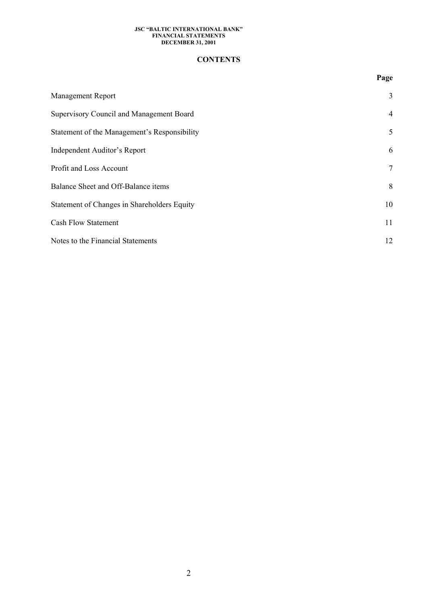### **CONTENTS**

|                                              | Page           |
|----------------------------------------------|----------------|
| <b>Management Report</b>                     | 3              |
| Supervisory Council and Management Board     | $\overline{4}$ |
| Statement of the Management's Responsibility | 5              |
| <b>Independent Auditor's Report</b>          | 6              |
| Profit and Loss Account                      | $\tau$         |
| Balance Sheet and Off-Balance items          | 8              |
| Statement of Changes in Shareholders Equity  | 10             |
| <b>Cash Flow Statement</b>                   | 11             |
| Notes to the Financial Statements            | 12             |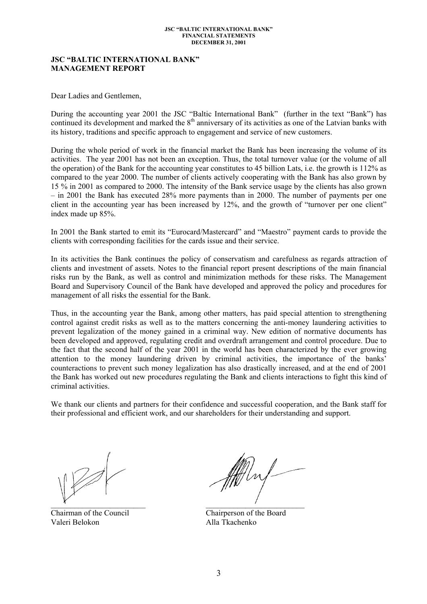### **JSC "BALTIC INTERNATIONAL BANK" MANAGEMENT REPORT**

Dear Ladies and Gentlemen,

During the accounting year 2001 the JSC "Baltic International Bank" (further in the text "Bank") has continued its development and marked the  $8<sup>th</sup>$  anniversary of its activities as one of the Latvian banks with its history, traditions and specific approach to engagement and service of new customers.

During the whole period of work in the financial market the Bank has been increasing the volume of its activities. The year 2001 has not been an exception. Thus, the total turnover value (or the volume of all the operation) of the Bank for the accounting year constitutes to 45 billion Lats, i.e. the growth is 112% as compared to the year 2000. The number of clients actively cooperating with the Bank has also grown by 15 % in 2001 as compared to 2000. The intensity of the Bank service usage by the clients has also grown – in 2001 the Bank has executed 28% more payments than in 2000. The number of payments per one client in the accounting year has been increased by 12%, and the growth of "turnover per one client" index made up 85%.

In 2001 the Bank started to emit its "Eurocard/Mastercard" and "Maestro" payment cards to provide the clients with corresponding facilities for the cards issue and their service.

In its activities the Bank continues the policy of conservatism and carefulness as regards attraction of clients and investment of assets. Notes to the financial report present descriptions of the main financial risks run by the Bank, as well as control and minimization methods for these risks. The Management Board and Supervisory Council of the Bank have developed and approved the policy and procedures for management of all risks the essential for the Bank.

Thus, in the accounting year the Bank, among other matters, has paid special attention to strengthening control against credit risks as well as to the matters concerning the anti-money laundering activities to prevent legalization of the money gained in a criminal way. New edition of normative documents has been developed and approved, regulating credit and overdraft arrangement and control procedure. Due to the fact that the second half of the year 2001 in the world has been characterized by the ever growing attention to the money laundering driven by criminal activities, the importance of the banks' counteractions to prevent such money legalization has also drastically increased, and at the end of 2001 the Bank has worked out new procedures regulating the Bank and clients interactions to fight this kind of criminal activities.

We thank our clients and partners for their confidence and successful cooperation, and the Bank staff for their professional and efficient work, and our shareholders for their understanding and support.

Chairman of the Council Chairperson of the Board Valeri Belokon Alla Tkachenko

 $\overline{A}$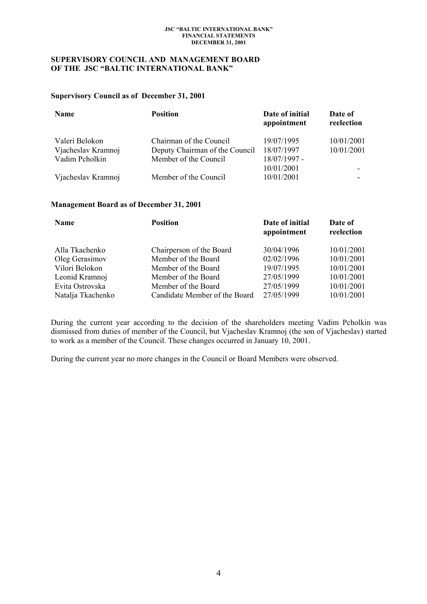### **SUPERVISORY COUNCIL AND MANAGEMENT BOARD OF THE JSC "BALTIC INTERNATIONAL BANK"**

### **Supervisory Council as of December 31, 2001**

| Name               | <b>Position</b>                | Date of initial<br>appointment | Date of<br>reelection |
|--------------------|--------------------------------|--------------------------------|-----------------------|
| Valeri Belokon     | Chairman of the Council        | 19/07/1995                     | 10/01/2001            |
| Vjacheslav Kramnoj | Deputy Chairman of the Council | 18/07/1997                     | 10/01/2001            |
| Vadim Pcholkin     | Member of the Council          | 18/07/1997 -                   |                       |
|                    |                                | 10/01/2001                     |                       |
| Vjacheslav Kramnoj | Member of the Council          | 10/01/2001                     |                       |

### **Management Board as of December 31, 2001**

| Name              | <b>Position</b>               | Date of initial<br>appointment | Date of<br>reelection |
|-------------------|-------------------------------|--------------------------------|-----------------------|
| Alla Tkachenko    | Chairperson of the Board      | 30/04/1996                     | 10/01/2001            |
| Oleg Gerasimov    | Member of the Board           | 02/02/1996                     | 10/01/2001            |
| Vilori Belokon    | Member of the Board           | 19/07/1995                     | 10/01/2001            |
| Leonid Kramnoj    | Member of the Board           | 27/05/1999                     | 10/01/2001            |
| Evita Ostrovska   | Member of the Board           | 27/05/1999                     | 10/01/2001            |
| Natalja Tkachenko | Candidate Member of the Board | 27/05/1999                     | 10/01/2001            |

During the current year according to the decision of the shareholders meeting Vadim Pcholkin was dismissed from duties of member of the Council, but Vjacheslav Kramnoj (the son of Vjacheslav) started to work as a member of the Council. These changes occurred in January 10, 2001.

During the current year no more changes in the Council or Board Members were observed.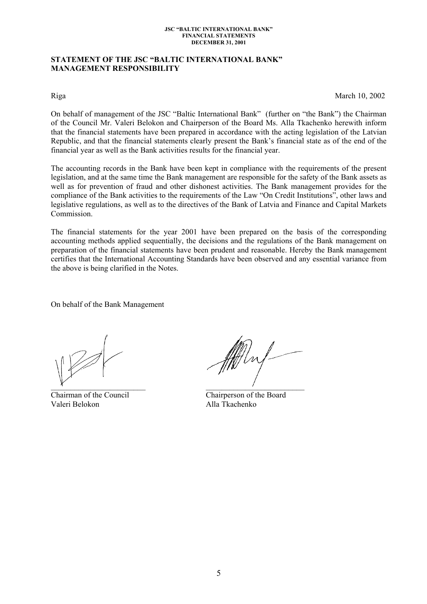### **STATEMENT OF THE JSC "BALTIC INTERNATIONAL BANK" MANAGEMENT RESPONSIBILITY**

Riga March 10, 2002

On behalf of management of the JSC "Baltic International Bank" (further on "the Bank") the Chairman of the Council Mr. Valeri Belokon and Chairperson of the Board Ms. Alla Tkachenko herewith inform that the financial statements have been prepared in accordance with the acting legislation of the Latvian Republic, and that the financial statements clearly present the Bank's financial state as of the end of the financial year as well as the Bank activities results for the financial year.

The accounting records in the Bank have been kept in compliance with the requirements of the present legislation, and at the same time the Bank management are responsible for the safety of the Bank assets as well as for prevention of fraud and other dishonest activities. The Bank management provides for the compliance of the Bank activities to the requirements of the Law "On Credit Institutions", other laws and legislative regulations, as well as to the directives of the Bank of Latvia and Finance and Capital Markets Commission.

The financial statements for the year 2001 have been prepared on the basis of the corresponding accounting methods applied sequentially, the decisions and the regulations of the Bank management on preparation of the financial statements have been prudent and reasonable. Hereby the Bank management certifies that the International Accounting Standards have been observed and any essential variance from the above is being clarified in the Notes.

On behalf of the Bank Management

Valeri Belokon Alla Tkachenko

 $\chi$ 

Chairman of the Council Chairperson of the Board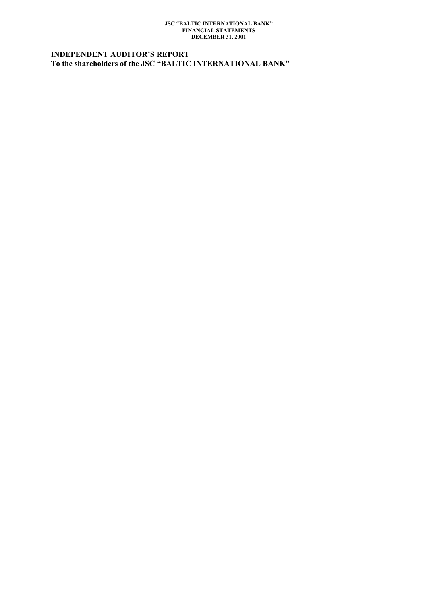# **INDEPENDENT AUDITOR'S REPORT To the shareholders of the JSC "BALTIC INTERNATIONAL BANK"**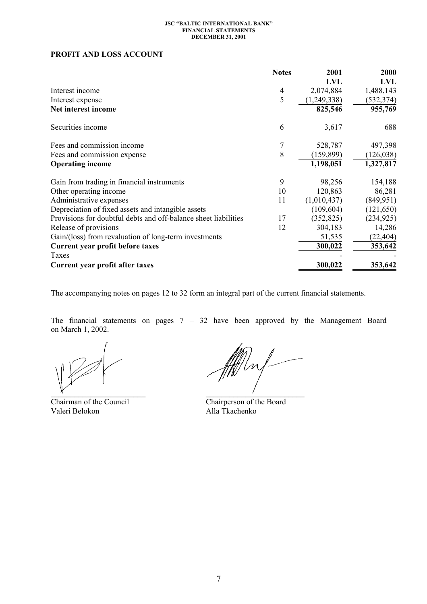# **PROFIT AND LOSS ACCOUNT**

|                                                                 | <b>Notes</b>   | 2001          | 2000       |
|-----------------------------------------------------------------|----------------|---------------|------------|
|                                                                 |                | <b>LVL</b>    | LVL        |
| Interest income                                                 | $\overline{4}$ | 2,074,884     | 1,488,143  |
| Interest expense                                                | 5              | (1, 249, 338) | (532, 374) |
| Net interest income                                             |                | 825,546       | 955,769    |
| Securities income                                               | 6              | 3,617         | 688        |
| Fees and commission income                                      |                | 528,787       | 497,398    |
| Fees and commission expense                                     | 8              | (159, 899)    | (126, 038) |
| <b>Operating income</b>                                         |                | 1,198,051     | 1,327,817  |
| Gain from trading in financial instruments                      | 9              | 98,256        | 154,188    |
| Other operating income                                          | 10             | 120,863       | 86,281     |
| Administrative expenses                                         | 11             | (1,010,437)   | (849, 951) |
| Depreciation of fixed assets and intangible assets              |                | (109, 604)    | (121, 650) |
| Provisions for doubtful debts and off-balance sheet liabilities | 17             | (352, 825)    | (234, 925) |
| Release of provisions                                           | 12             | 304,183       | 14,286     |
| Gain/(loss) from revaluation of long-term investments           |                | 51,535        | (22, 404)  |
| Current year profit before taxes                                |                | 300,022       | 353,642    |
| Taxes                                                           |                |               |            |
| Current year profit after taxes                                 |                | 300,022       | 353,642    |

The accompanying notes on pages 12 to 32 form an integral part of the current financial statements.

The financial statements on pages 7 – 32 have been approved by the Management Board on March 1, 2002.

Chairman of the Council Chairperson of the Board Valeri Belokon Alla Tkachenko

 $\mathbb Z/\mathbb Z$  $\chi$  and  $\chi$  and  $\chi$  and  $\chi$  and  $\chi$  and  $\chi$  and  $\chi$  and  $\chi$  and  $\chi$  and  $\chi$  and  $\chi$  and  $\chi$  and  $\chi$  and  $\chi$  and  $\chi$  and  $\chi$  and  $\chi$  and  $\chi$  and  $\chi$  and  $\chi$  and  $\chi$  and  $\chi$  and  $\chi$  and  $\chi$  and  $\chi$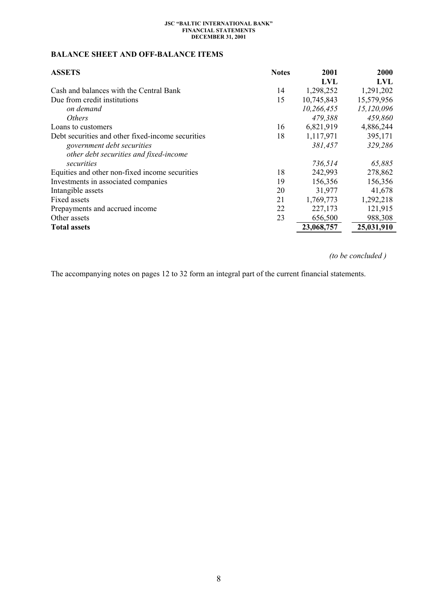# **BALANCE SHEET AND OFF-BALANCE ITEMS**

| <b>ASSETS</b>                                     | <b>Notes</b> | 2001       | 2000       |
|---------------------------------------------------|--------------|------------|------------|
|                                                   |              | LVL        | LVL        |
| Cash and balances with the Central Bank           | 14           | 1,298,252  | 1,291,202  |
| Due from credit institutions                      | 15           | 10,745,843 | 15,579,956 |
| on demand                                         |              | 10,266,455 | 15,120,096 |
| <i>Others</i>                                     |              | 479,388    | 459,860    |
| Loans to customers                                | 16           | 6,821,919  | 4,886,244  |
| Debt securities and other fixed-income securities | 18           | 1,117,971  | 395,171    |
| government debt securities                        |              | 381,457    | 329,286    |
| other debt securities and fixed-income            |              |            |            |
| securities                                        |              | 736,514    | 65,885     |
| Equities and other non-fixed income securities    | 18           | 242,993    | 278,862    |
| Investments in associated companies               | 19           | 156,356    | 156,356    |
| Intangible assets                                 | 20           | 31,977     | 41,678     |
| Fixed assets                                      | 21           | 1,769,773  | 1,292,218  |
| Prepayments and accrued income                    | 22           | 227,173    | 121,915    |
| Other assets                                      | 23           | 656,500    | 988,308    |
| <b>Total assets</b>                               |              | 23,068,757 | 25,031,910 |

 *(to be concluded )* 

The accompanying notes on pages 12 to 32 form an integral part of the current financial statements.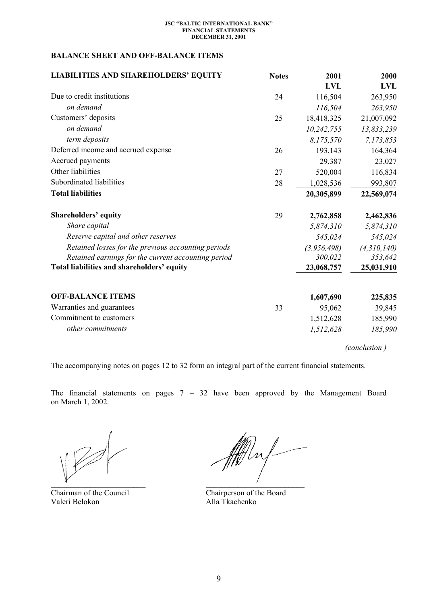# **BALANCE SHEET AND OFF-BALANCE ITEMS**

| <b>LIABILITIES AND SHAREHOLDERS' EQUITY</b>         | <b>Notes</b> | 2001        | 2000        |
|-----------------------------------------------------|--------------|-------------|-------------|
|                                                     |              | <b>LVL</b>  | <b>LVL</b>  |
| Due to credit institutions                          | 24           | 116,504     | 263,950     |
| on demand                                           |              | 116,504     | 263,950     |
| Customers' deposits                                 | 25           | 18,418,325  | 21,007,092  |
| on demand                                           |              | 10,242,755  | 13,833,239  |
| term deposits                                       |              | 8,175,570   | 7,173,853   |
| Deferred income and accrued expense                 | 26           | 193,143     | 164,364     |
| Accrued payments                                    |              | 29,387      | 23,027      |
| Other liabilities                                   | 27           | 520,004     | 116,834     |
| Subordinated liabilities                            | 28           | 1,028,536   | 993,807     |
| <b>Total liabilities</b>                            |              | 20,305,899  | 22,569,074  |
| <b>Shareholders' equity</b>                         | 29           | 2,762,858   | 2,462,836   |
| Share capital                                       |              | 5,874,310   | 5,874,310   |
| Reserve capital and other reserves                  |              | 545,024     | 545,024     |
| Retained losses for the previous accounting periods |              | (3,956,498) | (4,310,140) |
| Retained earnings for the current accounting period |              | 300,022     | 353,642     |
| Total liabilities and shareholders' equity          |              | 23,068,757  | 25,031,910  |
| <b>OFF-BALANCE ITEMS</b>                            |              | 1,607,690   | 225,835     |
| Warranties and guarantees                           | 33           | 95,062      | 39,845      |
| Commitment to customers                             |              | 1,512,628   | 185,990     |
| other commitments                                   |              | 1,512,628   | 185,990     |

*(conclusion )* 

The accompanying notes on pages 12 to 32 form an integral part of the current financial statements.

The financial statements on pages  $7 - 32$  have been approved by the Management Board on March 1, 2002.

Chairman of the Council Chairperson of the Board Valeri Belokon Alla Tkachenko

fft luf  $\overline{A}$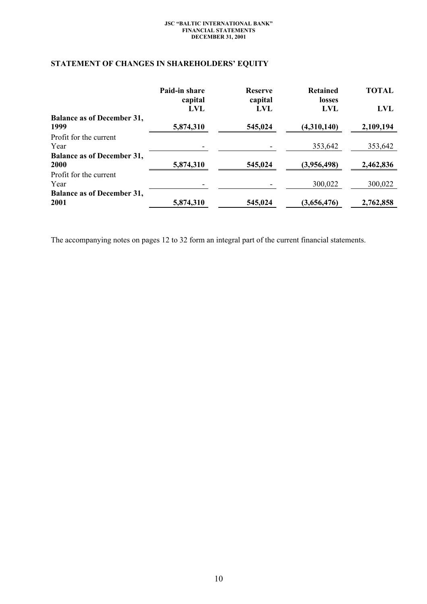# **STATEMENT OF CHANGES IN SHAREHOLDERS' EQUITY**

|                                           | Paid-in share<br>capital<br><b>LVL</b> | <b>Reserve</b><br>capital<br>LVL | <b>Retained</b><br><b>losses</b><br>LVL | TOTAL<br><b>LVL</b> |
|-------------------------------------------|----------------------------------------|----------------------------------|-----------------------------------------|---------------------|
| <b>Balance as of December 31,</b><br>1999 | 5,874,310                              | 545,024                          | (4,310,140)                             | 2,109,194           |
| Profit for the current<br>Year            |                                        |                                  | 353,642                                 | 353,642             |
| <b>Balance as of December 31,</b><br>2000 | 5,874,310                              | 545,024                          | (3,956,498)                             | 2,462,836           |
| Profit for the current<br>Year            |                                        |                                  | 300,022                                 | 300,022             |
| <b>Balance as of December 31,</b><br>2001 | 5,874,310                              | 545,024                          | (3,656,476)                             | 2,762,858           |

The accompanying notes on pages 12 to 32 form an integral part of the current financial statements.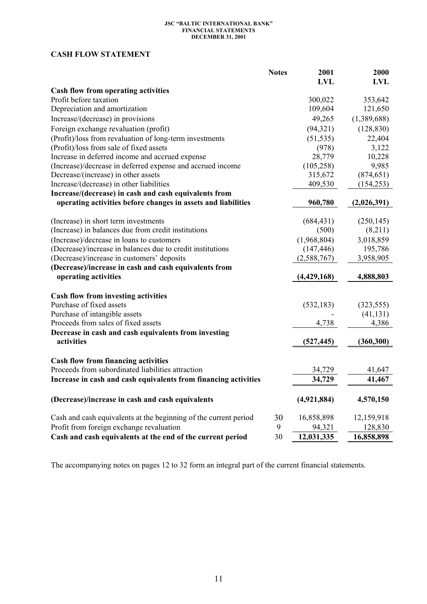# **CASH FLOW STATEMENT**

|                                                                                             | <b>Notes</b> | 2001<br><b>LVL</b> | 2000<br><b>LVL</b> |
|---------------------------------------------------------------------------------------------|--------------|--------------------|--------------------|
| Cash flow from operating activities                                                         |              |                    |                    |
| Profit before taxation                                                                      |              | 300,022            | 353,642            |
| Depreciation and amortization                                                               |              | 109,604            | 121,650            |
| Increase/(decrease) in provisions                                                           |              | 49,265             | (1,389,688)        |
| Foreign exchange revaluation (profit)                                                       |              | (94, 321)          | (128, 830)         |
| (Profit)/loss from revaluation of long-term investments                                     |              | (51, 535)          | 22,404             |
| (Profit)/loss from sale of fixed assets                                                     |              | (978)              | 3,122              |
| Increase in deferred income and accrued expense                                             |              | 28,779             | 10,228             |
| (Increase)/decrease in deferred expense and accrued income                                  |              | (105, 258)         | 9,985              |
| Decrease/(increase) in other assets                                                         |              | 315,672            | (874, 651)         |
| Increase/(decrease) in other liabilities                                                    |              | 409,530            | (154, 253)         |
| Increase/(decrease) in cash and cash equivalents from                                       |              |                    |                    |
| operating activities before changes in assets and liabilities                               |              | 960,780            | (2,026,391)        |
|                                                                                             |              |                    |                    |
| (Increase) in short term investments<br>(Increase) in balances due from credit institutions |              | (684, 431)         | (250, 145)         |
|                                                                                             |              | (500)              | (8,211)            |
| (Increase)/decrease in loans to customers                                                   |              | (1,968,804)        | 3,018,859          |
| (Decrease)/increase in balances due to credit institutions                                  |              | (147, 446)         | 195,786            |
| (Decrease)/increase in customers' deposits                                                  |              | (2, 588, 767)      | 3,958,905          |
| (Decrease)/increase in cash and cash equivalents from<br>operating activities               |              | (4,429,168)        | 4,888,803          |
|                                                                                             |              |                    |                    |
| <b>Cash flow from investing activities</b>                                                  |              |                    |                    |
| Purchase of fixed assets                                                                    |              | (532, 183)         | (323, 555)         |
| Purchase of intangible assets                                                               |              |                    | (41, 131)          |
| Proceeds from sales of fixed assets                                                         |              | 4,738              | 4,386              |
| Decrease in cash and cash equivalents from investing                                        |              |                    |                    |
| activities                                                                                  |              | (527, 445)         | (360, 300)         |
| <b>Cash flow from financing activities</b>                                                  |              |                    |                    |
| Proceeds from subordinated liabilities attraction                                           |              | 34,729             | 41,647             |
| Increase in cash and cash equivalents from financing activities                             |              | 34,729             | 41,467             |
|                                                                                             |              |                    |                    |
| (Decrease)/increase in cash and cash equivalents                                            |              | (4,921,884)        | 4,570,150          |
| Cash and cash equivalents at the beginning of the current period                            | 30           | 16,858,898         | 12,159,918         |
| Profit from foreign exchange revaluation                                                    | 9            | 94,321             | 128,830            |
| Cash and cash equivalents at the end of the current period                                  | 30           | 12,031,335         | 16,858,898         |

The accompanying notes on pages 12 to 32 form an integral part of the current financial statements.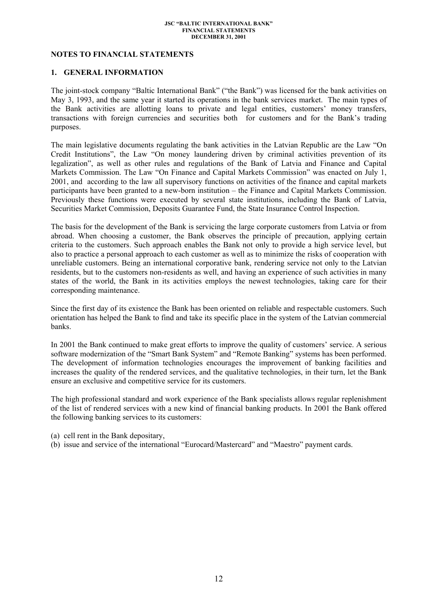## **NOTES TO FINANCIAL STATEMENTS**

### **1. GENERAL INFORMATION**

The joint-stock company "Baltic International Bank" ("the Bank") was licensed for the bank activities on May 3, 1993, and the same year it started its operations in the bank services market. The main types of the Bank activities are allotting loans to private and legal entities, customers' money transfers, transactions with foreign currencies and securities both for customers and for the Bank's trading purposes.

The main legislative documents regulating the bank activities in the Latvian Republic are the Law "On Credit Institutions", the Law "On money laundering driven by criminal activities prevention of its legalization", as well as other rules and regulations of the Bank of Latvia and Finance and Capital Markets Commission. The Law "On Finance and Capital Markets Commission" was enacted on July 1, 2001, and according to the law all supervisory functions on activities of the finance and capital markets participants have been granted to a new-born institution – the Finance and Capital Markets Commission. Previously these functions were executed by several state institutions, including the Bank of Latvia, Securities Market Commission, Deposits Guarantee Fund, the State Insurance Control Inspection.

The basis for the development of the Bank is servicing the large corporate customers from Latvia or from abroad. When choosing a customer, the Bank observes the principle of precaution, applying certain criteria to the customers. Such approach enables the Bank not only to provide a high service level, but also to practice a personal approach to each customer as well as to minimize the risks of cooperation with unreliable customers. Being an international corporative bank, rendering service not only to the Latvian residents, but to the customers non-residents as well, and having an experience of such activities in many states of the world, the Bank in its activities employs the newest technologies, taking care for their corresponding maintenance.

Since the first day of its existence the Bank has been oriented on reliable and respectable customers. Such orientation has helped the Bank to find and take its specific place in the system of the Latvian commercial banks.

In 2001 the Bank continued to make great efforts to improve the quality of customers' service. A serious software modernization of the "Smart Bank System" and "Remote Banking" systems has been performed. The development of information technologies encourages the improvement of banking facilities and increases the quality of the rendered services, and the qualitative technologies, in their turn, let the Bank ensure an exclusive and competitive service for its customers.

The high professional standard and work experience of the Bank specialists allows regular replenishment of the list of rendered services with a new kind of financial banking products. In 2001 the Bank offered the following banking services to its customers:

(a) cell rent in the Bank depositary,

(b) issue and service of the international "Eurocard/Mastercard" and "Maestro" payment cards.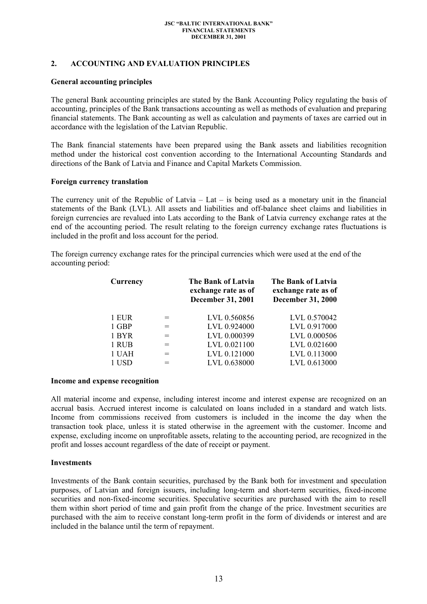## **2. ACCOUNTING AND EVALUATION PRINCIPLES**

### **General accounting principles**

The general Bank accounting principles are stated by the Bank Accounting Policy regulating the basis of accounting, principles of the Bank transactions accounting as well as methods of evaluation and preparing financial statements. The Bank accounting as well as calculation and payments of taxes are carried out in accordance with the legislation of the Latvian Republic.

The Bank financial statements have been prepared using the Bank assets and liabilities recognition method under the historical cost convention according to the International Accounting Standards and directions of the Bank of Latvia and Finance and Capital Markets Commission.

### **Foreign currency translation**

The currency unit of the Republic of Latvia – Lat – is being used as a monetary unit in the financial statements of the Bank (LVL). All assets and liabilities and off-balance sheet claims and liabilities in foreign currencies are revalued into Lats according to the Bank of Latvia currency exchange rates at the end of the accounting period. The result relating to the foreign currency exchange rates fluctuations is included in the profit and loss account for the period.

The foreign currency exchange rates for the principal currencies which were used at the end of the accounting period:

| Currency |     | <b>The Bank of Latvia</b><br>exchange rate as of<br><b>December 31, 2001</b> | The Bank of Latvia<br>exchange rate as of<br><b>December 31, 2000</b> |
|----------|-----|------------------------------------------------------------------------------|-----------------------------------------------------------------------|
| 1 EUR    |     | LVL 0.560856                                                                 | LVL 0.570042                                                          |
| 1 GBP    | $=$ | LVL 0.924000                                                                 | LVL 0.917000                                                          |
| 1 BYR    |     | LVL 0.000399                                                                 | LVL 0.000506                                                          |
| 1 RUB    |     | LVL 0.021100                                                                 | LVL 0.021600                                                          |
| 1 UAH    |     | LVL 0.121000                                                                 | LVL 0.113000                                                          |
| 1 USD    |     | LVL 0.638000                                                                 | LVL 0.613000                                                          |

### **Income and expense recognition**

All material income and expense, including interest income and interest expense are recognized on an accrual basis. Accrued interest income is calculated on loans included in a standard and watch lists. Income from commissions received from customers is included in the income the day when the transaction took place, unless it is stated otherwise in the agreement with the customer. Income and expense, excluding income on unprofitable assets, relating to the accounting period, are recognized in the profit and losses account regardless of the date of receipt or payment.

### **Investments**

Investments of the Bank contain securities, purchased by the Bank both for investment and speculation purposes, of Latvian and foreign issuers, including long-term and short-term securities, fixed-income securities and non-fixed-income securities. Speculative securities are purchased with the aim to resell them within short period of time and gain profit from the change of the price. Investment securities are purchased with the aim to receive constant long-term profit in the form of dividends or interest and are included in the balance until the term of repayment.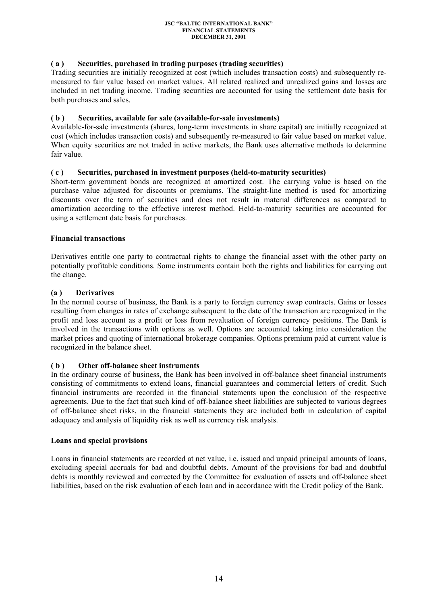## **( a ) Securities, purchased in trading purposes (trading securities)**

Trading securities are initially recognized at cost (which includes transaction costs) and subsequently remeasured to fair value based on market values. All related realized and unrealized gains and losses are included in net trading income. Trading securities are accounted for using the settlement date basis for both purchases and sales.

### **( b ) Securities, available for sale (available-for-sale investments)**

Available-for-sale investments (shares, long-term investments in share capital) are initially recognized at cost (which includes transaction costs) and subsequently re-measured to fair value based on market value. When equity securities are not traded in active markets, the Bank uses alternative methods to determine fair value.

## **( c ) Securities, purchased in investment purposes (held-to-maturity securities)**

Short-term government bonds are recognized at amortized cost. The carrying value is based on the purchase value adjusted for discounts or premiums. The straight-line method is used for amortizing discounts over the term of securities and does not result in material differences as compared to amortization according to the effective interest method. Held-to-maturity securities are accounted for using a settlement date basis for purchases.

## **Financial transactions**

Derivatives entitle one party to contractual rights to change the financial asset with the other party on potentially profitable conditions. Some instruments contain both the rights and liabilities for carrying out the change.

### **(a ) Derivatives**

In the normal course of business, the Bank is a party to foreign currency swap contracts. Gains or losses resulting from changes in rates of exchange subsequent to the date of the transaction are recognized in the profit and loss account as a profit or loss from revaluation of foreign currency positions. The Bank is involved in the transactions with options as well. Options are accounted taking into consideration the market prices and quoting of international brokerage companies. Options premium paid at current value is recognized in the balance sheet.

## **( b ) Other off-balance sheet instruments**

In the ordinary course of business, the Bank has been involved in off-balance sheet financial instruments consisting of commitments to extend loans, financial guarantees and commercial letters of credit. Such financial instruments are recorded in the financial statements upon the conclusion of the respective agreements. Due to the fact that such kind of off-balance sheet liabilities are subjected to various degrees of off-balance sheet risks, in the financial statements they are included both in calculation of capital adequacy and analysis of liquidity risk as well as currency risk analysis.

### **Loans and special provisions**

Loans in financial statements are recorded at net value, i.e. issued and unpaid principal amounts of loans, excluding special accruals for bad and doubtful debts. Amount of the provisions for bad and doubtful debts is monthly reviewed and corrected by the Committee for evaluation of assets and off-balance sheet liabilities, based on the risk evaluation of each loan and in accordance with the Credit policy of the Bank.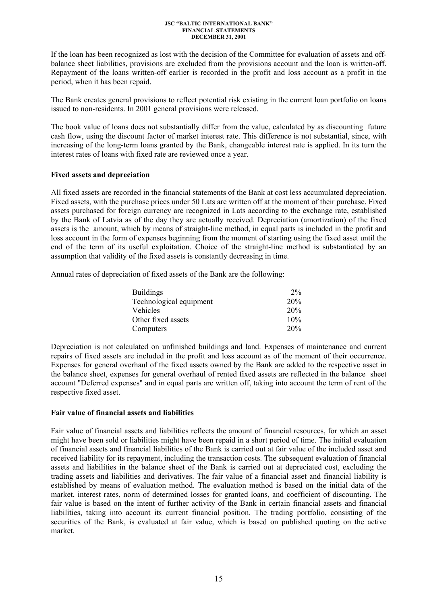If the loan has been recognized as lost with the decision of the Committee for evaluation of assets and offbalance sheet liabilities, provisions are excluded from the provisions account and the loan is written-off. Repayment of the loans written-off earlier is recorded in the profit and loss account as a profit in the period, when it has been repaid.

The Bank creates general provisions to reflect potential risk existing in the current loan portfolio on loans issued to non-residents. In 2001 general provisions were released.

The book value of loans does not substantially differ from the value, calculated by as discounting future cash flow, using the discount factor of market interest rate. This difference is not substantial, since, with increasing of the long-term loans granted by the Bank, changeable interest rate is applied. In its turn the interest rates of loans with fixed rate are reviewed once a year.

## **Fixed assets and depreciation**

All fixed assets are recorded in the financial statements of the Bank at cost less accumulated depreciation. Fixed assets, with the purchase prices under 50 Lats are written off at the moment of their purchase. Fixed assets purchased for foreign currency are recognized in Lats according to the exchange rate, established by the Bank of Latvia as of the day they are actually received. Depreciation (amortization) of the fixed assets is the amount, which by means of straight-line method, in equal parts is included in the profit and loss account in the form of expenses beginning from the moment of starting using the fixed asset until the end of the term of its useful exploitation. Choice of the straight-line method is substantiated by an assumption that validity of the fixed assets is constantly decreasing in time.

Annual rates of depreciation of fixed assets of the Bank are the following:

| <b>Buildings</b>        | $2\%$ |
|-------------------------|-------|
| Technological equipment | 20%   |
| Vehicles                | 20%   |
| Other fixed assets      | 10%   |
| Computers               | 20%   |

Depreciation is not calculated on unfinished buildings and land. Expenses of maintenance and current repairs of fixed assets are included in the profit and loss account as of the moment of their occurrence. Expenses for general overhaul of the fixed assets owned by the Bank are added to the respective asset in the balance sheet, expenses for general overhaul of rented fixed assets are reflected in the balance sheet account "Deferred expenses" and in equal parts are written off, taking into account the term of rent of the respective fixed asset.

### **Fair value of financial assets and liabilities**

Fair value of financial assets and liabilities reflects the amount of financial resources, for which an asset might have been sold or liabilities might have been repaid in a short period of time. The initial evaluation of financial assets and financial liabilities of the Bank is carried out at fair value of the included asset and received liability for its repayment, including the transaction costs. The subsequent evaluation of financial assets and liabilities in the balance sheet of the Bank is carried out at depreciated cost, excluding the trading assets and liabilities and derivatives. The fair value of a financial asset and financial liability is established by means of evaluation method. The evaluation method is based on the initial data of the market, interest rates, norm of determined losses for granted loans, and coefficient of discounting. The fair value is based on the intent of further activity of the Bank in certain financial assets and financial liabilities, taking into account its current financial position. The trading portfolio, consisting of the securities of the Bank, is evaluated at fair value, which is based on published quoting on the active market.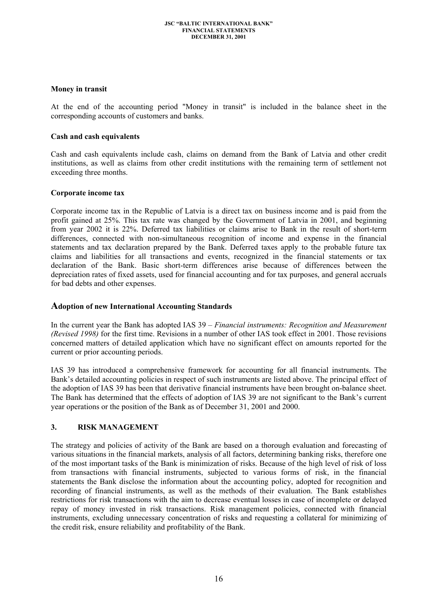## **Money in transit**

At the end of the accounting period "Money in transit" is included in the balance sheet in the corresponding accounts of customers and banks.

## **Cash and cash equivalents**

Cash and cash equivalents include cash, claims on demand from the Bank of Latvia and other credit institutions, as well as claims from other credit institutions with the remaining term of settlement not exceeding three months.

## **Corporate income tax**

Corporate income tax in the Republic of Latvia is a direct tax on business income and is paid from the profit gained at 25%. This tax rate was changed by the Government of Latvia in 2001, and beginning from year 2002 it is 22%. Deferred tax liabilities or claims arise to Bank in the result of short-term differences, connected with non-simultaneous recognition of income and expense in the financial statements and tax declaration prepared by the Bank. Deferred taxes apply to the probable future tax claims and liabilities for all transactions and events, recognized in the financial statements or tax declaration of the Bank. Basic short-term differences arise because of differences between the depreciation rates of fixed assets, used for financial accounting and for tax purposes, and general accruals for bad debts and other expenses.

## **Adoption of new International Accounting Standards**

In the current year the Bank has adopted IAS 39 – *Financial instruments: Recognition and Measurement (Revised 1998)* for the first time. Revisions in a number of other IAS took effect in 2001. Those revisions concerned matters of detailed application which have no significant effect on amounts reported for the current or prior accounting periods.

IAS 39 has introduced a comprehensive framework for accounting for all financial instruments. The Bank's detailed accounting policies in respect of such instruments are listed above. The principal effect of the adoption of IAS 39 has been that derivative financial instruments have been brought on-balance sheet. The Bank has determined that the effects of adoption of IAS 39 are not significant to the Bank's current year operations or the position of the Bank as of December 31, 2001 and 2000.

## **3. RISK MANAGEMENT**

The strategy and policies of activity of the Bank are based on a thorough evaluation and forecasting of various situations in the financial markets, analysis of all factors, determining banking risks, therefore one of the most important tasks of the Bank is minimization of risks. Because of the high level of risk of loss from transactions with financial instruments, subjected to various forms of risk, in the financial statements the Bank disclose the information about the accounting policy, adopted for recognition and recording of financial instruments, as well as the methods of their evaluation. The Bank establishes restrictions for risk transactions with the aim to decrease eventual losses in case of incomplete or delayed repay of money invested in risk transactions. Risk management policies, connected with financial instruments, excluding unnecessary concentration of risks and requesting a collateral for minimizing of the credit risk, ensure reliability and profitability of the Bank.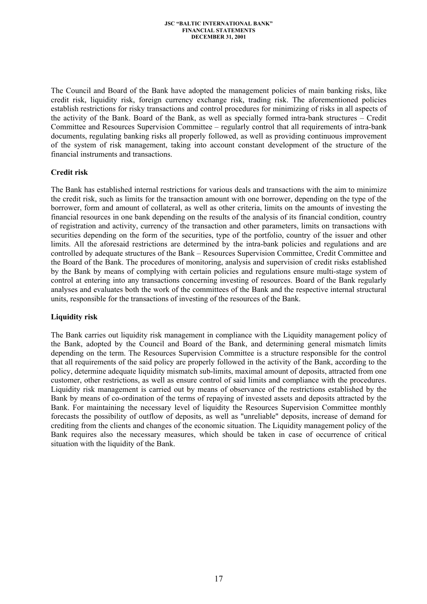The Council and Board of the Bank have adopted the management policies of main banking risks, like credit risk, liquidity risk, foreign currency exchange risk, trading risk. The aforementioned policies establish restrictions for risky transactions and control procedures for minimizing of risks in all aspects of the activity of the Bank. Board of the Bank, as well as specially formed intra-bank structures – Credit Committee and Resources Supervision Committee – regularly control that all requirements of intra-bank documents, regulating banking risks all properly followed, as well as providing continuous improvement of the system of risk management, taking into account constant development of the structure of the financial instruments and transactions.

## **Credit risk**

The Bank has established internal restrictions for various deals and transactions with the aim to minimize the credit risk, such as limits for the transaction amount with one borrower, depending on the type of the borrower, form and amount of collateral, as well as other criteria, limits on the amounts of investing the financial resources in one bank depending on the results of the analysis of its financial condition, country of registration and activity, currency of the transaction and other parameters, limits on transactions with securities depending on the form of the securities, type of the portfolio, country of the issuer and other limits. All the aforesaid restrictions are determined by the intra-bank policies and regulations and are controlled by adequate structures of the Bank – Resources Supervision Committee, Credit Committee and the Board of the Bank. The procedures of monitoring, analysis and supervision of credit risks established by the Bank by means of complying with certain policies and regulations ensure multi-stage system of control at entering into any transactions concerning investing of resources. Board of the Bank regularly analyses and evaluates both the work of the committees of the Bank and the respective internal structural units, responsible for the transactions of investing of the resources of the Bank.

### **Liquidity risk**

The Bank carries out liquidity risk management in compliance with the Liquidity management policy of the Bank, adopted by the Council and Board of the Bank, and determining general mismatch limits depending on the term. The Resources Supervision Committee is a structure responsible for the control that all requirements of the said policy are properly followed in the activity of the Bank, according to the policy, determine adequate liquidity mismatch sub-limits, maximal amount of deposits, attracted from one customer, other restrictions, as well as ensure control of said limits and compliance with the procedures. Liquidity risk management is carried out by means of observance of the restrictions established by the Bank by means of co-ordination of the terms of repaying of invested assets and deposits attracted by the Bank. For maintaining the necessary level of liquidity the Resources Supervision Committee monthly forecasts the possibility of outflow of deposits, as well as "unreliable" deposits, increase of demand for crediting from the clients and changes of the economic situation. The Liquidity management policy of the Bank requires also the necessary measures, which should be taken in case of occurrence of critical situation with the liquidity of the Bank.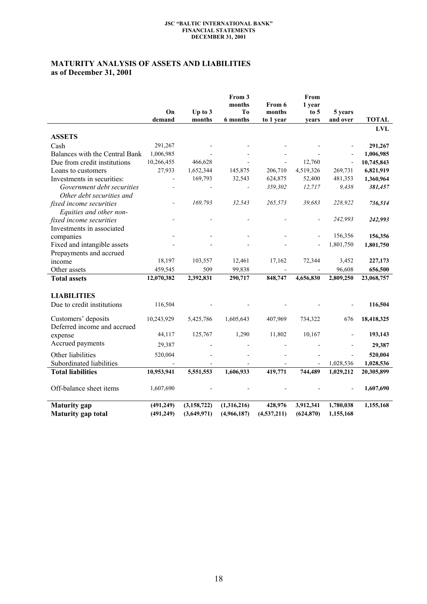# **MATURITY ANALYSIS OF ASSETS AND LIABILITIES as of December 31, 2001**

|                                |                |               | From 3<br>months | From 6        | From<br>1 year |           |              |
|--------------------------------|----------------|---------------|------------------|---------------|----------------|-----------|--------------|
|                                | On             | Up to 3       | T <sub>0</sub>   | months        | to 5           | 5 years   |              |
|                                | demand         | months        | 6 months         | to 1 year     | years          | and over  | <b>TOTAL</b> |
| <b>ASSETS</b>                  |                |               |                  |               |                |           | <b>LVL</b>   |
|                                | 291,267        |               |                  |               |                |           |              |
| Cash                           |                |               |                  |               |                |           | 291,267      |
| Balances with the Central Bank | 1,006,985      |               |                  |               |                |           | 1,006,985    |
| Due from credit institutions   | 10,266,455     | 466,628       |                  |               | 12,760         | $\Box$    | 10,745,843   |
| Loans to customers             | 27,933         | 1,652,344     | 145,875          | 206,710       | 4,519,326      | 269,731   | 6,821,919    |
| Investments in securities:     | $\blacksquare$ | 169,793       | 32,543           | 624,875       | 52,400         | 481,353   | 1,360,964    |
| Government debt securities     | $\overline{a}$ |               | $\frac{1}{2}$    | 359,302       | 12,717         | 9,438     | 381,457      |
| Other debt securities and      |                |               |                  |               |                |           |              |
| fixed income securities        |                | 169,793       | 32,543           | 265,573       | 39,683         | 228,922   | 736,514      |
| Equities and other non-        |                |               |                  |               |                |           |              |
| fixed income securities        |                |               |                  |               |                | 242,993   | 242,993      |
| Investments in associated      |                |               |                  |               |                |           |              |
| companies                      |                |               |                  |               |                | 156,356   | 156,356      |
| Fixed and intangible assets    |                |               |                  |               |                | 1,801,750 | 1,801,750    |
| Prepayments and accrued        |                |               |                  |               |                |           |              |
| income                         | 18,197         | 103,557       | 12,461           | 17,162        | 72,344         | 3,452     | 227,173      |
| Other assets                   | 459,545        | 509           | 99,838           |               |                | 96,608    | 656,500      |
| <b>Total assets</b>            | 12,070,382     | 2,392,831     | 290,717          | 848,747       | 4,656,830      | 2,809,250 | 23,068,757   |
| <b>LIABILITIES</b>             |                |               |                  |               |                |           |              |
| Due to credit institutions     | 116,504        |               |                  |               |                |           | 116,504      |
| Customers' deposits            | 10,243,929     | 5,425,786     | 1,605,643        | 407,969       | 734,322        | 676       | 18,418,325   |
| Deferred income and accrued    |                |               |                  |               |                |           |              |
| expense                        | 44,117         | 125,767       | 1,290            | 11,802        | 10,167         |           | 193,143      |
| Accrued payments               | 29,387         |               |                  |               |                |           | 29,387       |
| Other liabilities              | 520,004        |               |                  |               |                |           | 520,004      |
| Subordinated liabilities       |                |               |                  |               |                | 1,028,536 | 1,028,536    |
| <b>Total liabilities</b>       | 10,953,941     | 5,551,553     | 1,606,933        | 419,771       | 744,489        | 1,029,212 | 20,305,899   |
|                                |                |               |                  |               |                |           |              |
| Off-balance sheet items        | 1,607,690      |               |                  |               |                |           | 1,607,690    |
| <b>Maturity</b> gap            | (491, 249)     | (3, 158, 722) | (1,316,216)      | 428,976       | 3,912,341      | 1,780,038 | 1,155,168    |
| <b>Maturity</b> gap total      | (491, 249)     | (3,649,971)   | (4,966,187)      | (4, 537, 211) | (624, 870)     | 1,155,168 |              |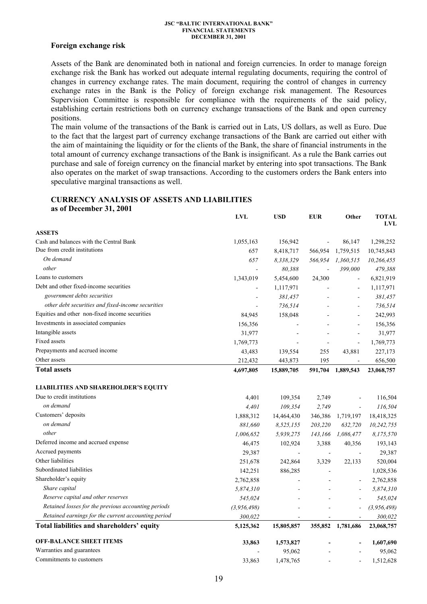### **Foreign exchange risk**

Assets of the Bank are denominated both in national and foreign currencies. In order to manage foreign exchange risk the Bank has worked out adequate internal regulating documents, requiring the control of changes in currency exchange rates. The main document, requiring the control of changes in currency exchange rates in the Bank is the Policy of foreign exchange risk management. The Resources Supervision Committee is responsible for compliance with the requirements of the said policy, establishing certain restrictions both on currency exchange transactions of the Bank and open currency positions.

The main volume of the transactions of the Bank is carried out in Lats, US dollars, as well as Euro. Due to the fact that the largest part of currency exchange transactions of the Bank are carried out either with the aim of maintaining the liquidity or for the clients of the Bank, the share of financial instruments in the total amount of currency exchange transactions of the Bank is insignificant. As a rule the Bank carries out purchase and sale of foreign currency on the financial market by entering into spot transactions. The Bank also operates on the market of swap transactions. According to the customers orders the Bank enters into speculative marginal transactions as well.

### **CURRENCY ANALYSIS OF ASSETS AND LIABILITIES as of December 31, 2001**

|                                                     | <b>LVL</b>               | <b>USD</b>         | <b>EUR</b>     | Other                    | <b>TOTAL</b><br>LVL    |
|-----------------------------------------------------|--------------------------|--------------------|----------------|--------------------------|------------------------|
| <b>ASSETS</b>                                       |                          |                    |                |                          |                        |
| Cash and balances with the Central Bank             | 1,055,163                | 156,942            |                | 86,147                   | 1,298,252              |
| Due from credit institutions                        | 657                      | 8,418,717          | 566,954        | 1,759,515                | 10,745,843             |
| On demand                                           | 657                      | 8,338,329          | 566,954        | 1,360,515                | 10,266,455             |
| other                                               |                          | 80,388             | $\overline{a}$ | 399,000                  | 479,388                |
| Loans to customers                                  | 1,343,019                | 5,454,600          | 24,300         | $\blacksquare$           | 6,821,919              |
| Debt and other fixed-income securities              |                          | 1,117,971          |                | ÷,                       | 1,117,971              |
| government debts securities                         |                          | 381,457            |                | $\blacksquare$           | 381,457                |
| other debt securities and fixed-income securities   |                          | 736,514            |                |                          | 736,514                |
| Equities and other non-fixed income securities      | 84,945                   | 158,048            |                |                          | 242,993                |
| Investments in associated companies                 | 156,356                  |                    |                | ÷,                       | 156,356                |
| Intangible assets                                   | 31,977                   |                    |                | $\overline{a}$           | 31,977                 |
| Fixed assets                                        | 1,769,773                |                    |                | $\blacksquare$           | 1,769,773              |
| Prepayments and accrued income                      | 43,483                   | 139,554            | 255            | 43,881                   | 227,173                |
| Other assets                                        | 212,432                  | 443,873            | 195            | $\blacksquare$           | 656,500                |
| <b>Total assets</b>                                 | 4,697,805                | 15,889,705         | 591,704        | 1,889,543                | 23,068,757             |
| <b>LIABILITIES AND SHAREHOLDER'S EQUITY</b>         |                          |                    |                |                          |                        |
| Due to credit institutions                          |                          |                    |                |                          |                        |
| on demand                                           | 4,401<br>4,401           | 109,354<br>109,354 | 2,749<br>2,749 |                          | 116,504                |
| Customers' deposits                                 |                          |                    |                |                          | 116,504                |
| on demand                                           | 1,888,312<br>881,660     | 14,464,430         | 346,386        | 1,719,197                | 18,418,325             |
| other                                               |                          | 8,525,155          | 203,220        | 632,720                  | 10,242,755             |
| Deferred income and accrued expense                 | 1,006,652                | 5,939,275          | 143,166        | 1,086,477                | 8,175,570              |
| Accrued payments                                    | 46,475                   | 102,924            | 3,388          | 40,356                   | 193,143                |
| Other liabilities                                   | 29,387                   |                    |                | $\blacksquare$           | 29,387                 |
| Subordinated liabilities                            | 251,678                  | 242,864            | 3,329          | 22,133                   | 520,004                |
| Shareholder's equity                                | 142,251                  | 886,285            |                |                          | 1,028,536<br>2,762,858 |
| Share capital                                       | 2,762,858<br>5,874,310   |                    |                | $\overline{\phantom{a}}$ | 5,874,310              |
| Reserve capital and other reserves                  | 545,024                  |                    |                |                          | 545,024                |
| Retained losses for the previous accounting periods |                          |                    |                |                          | (3, 956, 498)          |
| Retained earnings for the current accounting period | (3, 956, 498)<br>300,022 |                    |                |                          |                        |
| Total liabilities and shareholders' equity          | 5,125,362                | 15,805,857         | 355,852        | 1,781,686                | 300,022<br>23,068,757  |
|                                                     |                          |                    |                |                          |                        |
| <b>OFF-BALANCE SHEET ITEMS</b>                      | 33,863                   | 1,573,827          |                |                          | 1,607,690              |
| Warranties and guarantees                           |                          | 95,062             |                |                          | 95,062                 |
| Commitments to customers                            | 33,863                   | 1,478,765          |                |                          | 1,512,628              |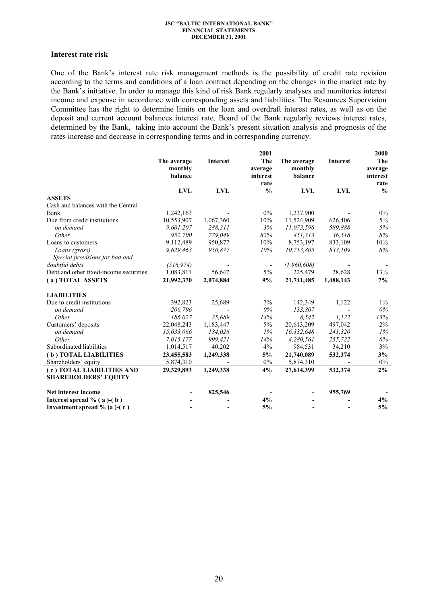### **Interest rate risk**

One of the Bank's interest rate risk management methods is the possibility of credit rate revision according to the terms and conditions of a loan contract depending on the changes in the market rate by the Bank's initiative. In order to manage this kind of risk Bank regularly analyses and monitories interest income and expense in accordance with corresponding assets and liabilities. The Resources Supervision Committee has the right to determine limits on the loan and overdraft interest rates, as well as on the deposit and current account balances interest rate. Board of the Bank regularly reviews interest rates, determined by the Bank, taking into account the Bank's present situation analysis and prognosis of the rates increase and decrease in corresponding terms and in corresponding currency.

|                                        |             |                 | 2001             |             |            | 2000             |
|----------------------------------------|-------------|-----------------|------------------|-------------|------------|------------------|
|                                        | The average | <b>Interest</b> | The              | The average | Interest   | The              |
|                                        | monthly     |                 | average          | monthly     |            | average          |
|                                        | balance     |                 | interest<br>rate | balance     |            | interest<br>rate |
|                                        | <b>LVL</b>  | <b>LVL</b>      | $\frac{0}{0}$    | <b>LVL</b>  | <b>LVL</b> | $\frac{0}{0}$    |
| <b>ASSETS</b>                          |             |                 |                  |             |            |                  |
| Cash and balances with the Central     |             |                 |                  |             |            |                  |
| Bank                                   | 1,242,163   |                 | $0\%$            | 1,237,900   |            | $0\%$            |
| Due from credit institutions           | 10,553,907  | 1,067,360       | 10%              | 11,524,909  | 626,406    | $5\%$            |
| on demand                              | 9,601,207   | 288,311         | 3%               | 11,073,596  | 589,888    | 5%               |
| Other                                  | 952,700     | 779.049         | 82%              | 451.313     | 36,518     | 8%               |
| Loans to customers                     | 9,112,489   | 950,877         | 10%              | 8,753,197   | 833,109    | 10%              |
| Loans (gross)                          | 9,629,463   | 950,877         | 10%              | 10,713,805  | 833,109    | 8%               |
| Special provisions for bad and         |             |                 |                  |             |            |                  |
| doubtful debts                         | (516, 974)  |                 |                  | (1,960,608) |            |                  |
| Debt and other fixed-income securities | 1,083,811   | 56,647          | 5%               | 225,479     | 28,628     | 13%              |
| (a) TOTAL ASSETS                       | 21,992,370  | 2,074,884       | 9%               | 21,741,485  | 1,488,143  | 7%               |
| <b>LIABILITIES</b>                     |             |                 |                  |             |            |                  |
| Due to credit institutions             | 392,823     | 25,689          | 7%               | 142,349     | 1,122      | $1\%$            |
| on demand                              | 206.796     |                 | $0\%$            | 133,807     |            | $0\%$            |
| Other                                  | 186.027     | 25,689          | 14%              | 8,542       | 1,122      | 13%              |
| Customers' deposits                    | 22,048,243  | 1,183,447       | 5%               | 20,613,209  | 497,042    | $2\%$            |
| on demand                              | 15,033,066  | 184,026         | 1%               | 16,332,648  | 241,320    | 1%               |
| Other                                  | 7,015,177   | 999,421         | 14%              | 4,280,561   | 255,722    | 6%               |
| Subordinated liabilities               | 1,014,517   | 40,202          | 4%               | 984,531     | 34,210     | 3%               |
| (b) TOTAL LIABILITIES                  | 23,455,583  | 1,249,338       | 5%               | 21,740,089  | 532,374    | 3%               |
| Shareholders' equity                   | 5,874,310   |                 | 0%               | 5,874,310   |            | 0%               |
| (c) TOTAL LIABILITIES AND              | 29,329,893  | 1,249,338       | 4%               | 27,614,399  | 532,374    | $2\%$            |
| <b>SHAREHOLDERS' EQUITY</b>            |             |                 |                  |             |            |                  |
| Net interest income                    |             | 825,546         |                  |             | 955,769    |                  |
| Interest spread $% (a)-(b)$            |             |                 | 4%               |             |            | 4%               |
| Investment spread $% (a)-(c)$          |             |                 | 5%               |             |            | 5%               |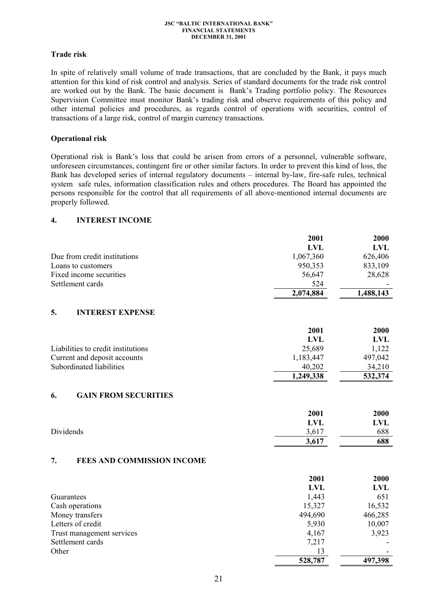## **Trade risk**

In spite of relatively small volume of trade transactions, that are concluded by the Bank, it pays much attention for this kind of risk control and analysis. Series of standard documents for the trade risk control are worked out by the Bank. The basic document is Bank's Trading portfolio policy. The Resources Supervision Committee must monitor Bank's trading risk and observe requirements of this policy and other internal policies and procedures, as regards control of operations with securities, control of transactions of a large risk, control of margin currency transactions.

## **Operational risk**

Operational risk is Bank's loss that could be arisen from errors of a personnel, vulnerable software, unforeseen circumstances, contingent fire or other similar factors. In order to prevent this kind of loss, the Bank has developed series of internal regulatory documents – internal by-law, fire-safe rules, technical system safe rules, information classification rules and others procedures. The Board has appointed the persons responsible for the control that all requirements of all above-mentioned internal documents are properly followed.

## **4. INTEREST INCOME**

|                                    | 2001       | 2000       |
|------------------------------------|------------|------------|
|                                    | LVL        | <b>LVL</b> |
| Due from credit institutions       | 1,067,360  | 626,406    |
| Loans to customers                 | 950,353    | 833,109    |
| Fixed income securities            | 56,647     | 28,628     |
| Settlement cards                   | 524        |            |
|                                    | 2,074,884  | 1,488,143  |
| 5.<br><b>INTEREST EXPENSE</b>      | 2001       | 2000       |
|                                    | <b>LVL</b> | <b>LVL</b> |
| Liabilities to credit institutions | 25,689     | 1,122      |
| Current and deposit accounts       | 1,183,447  | 497,042    |
| Subordinated liabilities           | 40,202     | 34,210     |
|                                    | 1,249,338  | 532,374    |
| $C$ a in edom cecildities<br>C     |            |            |

## **6. GAIN FROM SECURITIES**

|           | 2001  | 2000 |
|-----------|-------|------|
|           | LVL   | LVL  |
| Dividends | 3,617 | 688  |
|           | 3,617 | 688  |

### **7. FEES AND COMMISSION INCOME**

|                           | 2001       | 2000       |
|---------------------------|------------|------------|
|                           | <b>LVL</b> | <b>LVL</b> |
| Guarantees                | 1,443      | 651        |
| Cash operations           | 15,327     | 16,532     |
| Money transfers           | 494,690    | 466,285    |
| Letters of credit         | 5,930      | 10,007     |
| Trust management services | 4,167      | 3,923      |
| Settlement cards          | 7,217      |            |
| Other                     | 13         |            |
|                           | 528,787    | 497,398    |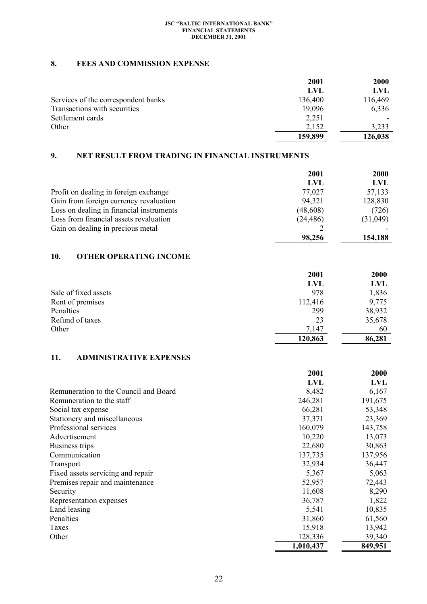## **8. FEES AND COMMISSION EXPENSE**

|                                     | 2001       | <b>2000</b> |
|-------------------------------------|------------|-------------|
|                                     | <b>LVL</b> | LVL         |
| Services of the correspondent banks | 136,400    | 116,469     |
| Transactions with securities        | 19,096     | 6,336       |
| Settlement cards                    | 2,251      |             |
| Other                               | 2,152      | 3,233       |
|                                     | 159,899    | 126,038     |

# **9. NET RESULT FROM TRADING IN FINANCIAL INSTRUMENTS**

|                                          | 2001      | <b>2000</b> |
|------------------------------------------|-----------|-------------|
|                                          | LVL       | LVL         |
| Profit on dealing in foreign exchange    | 77,027    | 57,133      |
| Gain from foreign currency revaluation   | 94,321    | 128,830     |
| Loss on dealing in financial instruments | (48, 608) | (726)       |
| Loss from financial assets revaluation   | (24, 486) | (31,049)    |
| Gain on dealing in precious metal        |           |             |
|                                          | 98,256    | 154,188     |

## **10. OTHER OPERATING INCOME**

|                      | 2001       | 2000   |
|----------------------|------------|--------|
|                      | <b>LVL</b> | LVL    |
| Sale of fixed assets | 978        | 1,836  |
| Rent of premises     | 112,416    | 9,775  |
| Penalties            | 299        | 38,932 |
| Refund of taxes      | 23         | 35,678 |
| Other                | 7,147      | 60     |
|                      | 120,863    | 86,281 |

# **11. ADMINISTRATIVE EXPENSES**

|                                       | 2001       | 2000    |
|---------------------------------------|------------|---------|
|                                       | <b>LVL</b> | LVL     |
| Remuneration to the Council and Board | 8,482      | 6,167   |
| Remuneration to the staff             | 246,281    | 191,675 |
| Social tax expense                    | 66,281     | 53,348  |
| Stationery and miscellaneous          | 37,371     | 23,369  |
| Professional services                 | 160,079    | 143,758 |
| Advertisement                         | 10,220     | 13,073  |
| Business trips                        | 22,680     | 30,863  |
| Communication                         | 137,735    | 137,956 |
| <b>Transport</b>                      | 32,934     | 36,447  |
| Fixed assets servicing and repair     | 5,367      | 5,063   |
| Premises repair and maintenance       | 52,957     | 72,443  |
| Security                              | 11,608     | 8,290   |
| Representation expenses               | 36,787     | 1,822   |
| Land leasing                          | 5,541      | 10,835  |
| Penalties                             | 31,860     | 61,560  |
| Taxes                                 | 15,918     | 13,942  |
| Other                                 | 128,336    | 39,340  |
|                                       | 1,010,437  | 849,951 |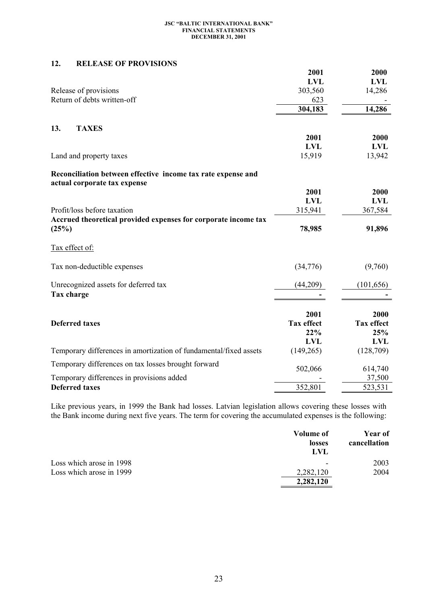## **12. RELEASE OF PROVISIONS**

|                                                                   | 2001              | 2000              |
|-------------------------------------------------------------------|-------------------|-------------------|
|                                                                   | <b>LVL</b>        | <b>LVL</b>        |
| Release of provisions                                             | 303,560           | 14,286            |
| Return of debts written-off                                       | 623               |                   |
|                                                                   | 304,183           | 14,286            |
| 13.<br><b>TAXES</b>                                               |                   |                   |
|                                                                   | 2001              | 2000              |
|                                                                   | <b>LVL</b>        | <b>LVL</b>        |
| Land and property taxes                                           | 15,919            | 13,942            |
| Reconciliation between effective income tax rate expense and      |                   |                   |
| actual corporate tax expense                                      |                   |                   |
|                                                                   | 2001              | 2000              |
|                                                                   | <b>LVL</b>        | <b>LVL</b>        |
| Profit/loss before taxation                                       | 315,941           | 367,584           |
| Accrued theoretical provided expenses for corporate income tax    |                   |                   |
| (25%)                                                             | 78,985            | 91,896            |
| Tax effect of:                                                    |                   |                   |
| Tax non-deductible expenses                                       | (34,776)          | (9,760)           |
| Unrecognized assets for deferred tax                              | (44,209)          | (101, 656)        |
| Tax charge                                                        |                   |                   |
|                                                                   | 2001              | 2000              |
| <b>Deferred taxes</b>                                             | <b>Tax effect</b> | <b>Tax effect</b> |
|                                                                   | 22%               | 25%               |
|                                                                   | <b>LVL</b>        | <b>LVL</b>        |
| Temporary differences in amortization of fundamental/fixed assets | (149,265)         | (128,709)         |
| Temporary differences on tax losses brought forward               | 502,066           | 614,740           |
| Temporary differences in provisions added                         |                   | 37,500            |
| <b>Deferred taxes</b>                                             | 352,801           | 523,531           |

Like previous years, in 1999 the Bank had losses. Latvian legislation allows covering these losses with the Bank income during next five years. The term for covering the accumulated expenses is the following:

|                          | Volume of<br>losses<br>LVL | Year of<br>cancellation |
|--------------------------|----------------------------|-------------------------|
| Loss which arose in 1998 | $\overline{\phantom{a}}$   | 2003                    |
| Loss which arose in 1999 | 2,282,120                  | 2004                    |
|                          | 2,282,120                  |                         |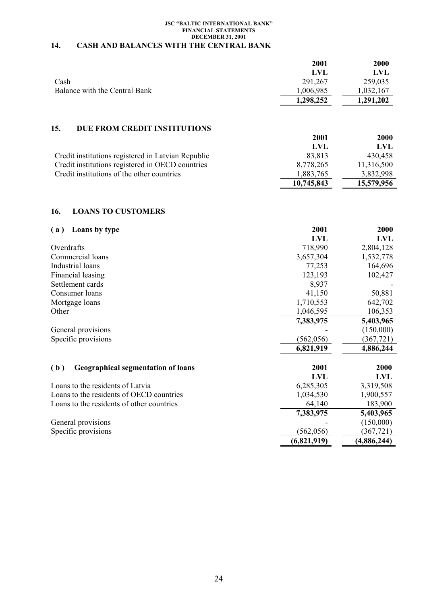#### **JSC "BALTIC INTERNATIONAL BANK" FINANCIAL STATEMENTS DECEMBER 31, 2001 14. CASH AND BALANCES WITH THE CENTRAL BANK**

|                                                    | 2001       | <b>2000</b> |
|----------------------------------------------------|------------|-------------|
|                                                    | <b>LVL</b> | LVL         |
| Cash                                               | 291,267    | 259,035     |
| Balance with the Central Bank                      | 1,006,985  | 1,032,167   |
|                                                    | 1,298,252  | 1,291,202   |
| 15.<br>DUE FROM CREDIT INSTITUTIONS                | 2001       | <b>2000</b> |
|                                                    | LVL        | LVL         |
|                                                    |            |             |
| Credit institutions registered in Latvian Republic | 83,813     | 430,458     |
| Credit institutions registered in OECD countries   | 8,778,265  | 11,316,500  |
| Credit institutions of the other countries         | 1,883,765  | 3,832,998   |

**10,745,843 15,579,956**

## **16. LOANS TO CUSTOMERS**

| Loans by type<br>(a)                             | 2001        | 2000        |
|--------------------------------------------------|-------------|-------------|
|                                                  | <b>LVL</b>  | <b>LVL</b>  |
| Overdrafts                                       | 718,990     | 2,804,128   |
| Commercial loans                                 | 3,657,304   | 1,532,778   |
| Industrial loans                                 | 77,253      | 164,696     |
| Financial leasing                                | 123,193     | 102,427     |
| Settlement cards                                 | 8,937       |             |
| Consumer loans                                   | 41,150      | 50,881      |
| Mortgage loans                                   | 1,710,553   | 642,702     |
| Other                                            | 1,046,595   | 106,353     |
|                                                  | 7,383,975   | 5,403,965   |
| General provisions                               |             | (150,000)   |
| Specific provisions                              | (562, 056)  | (367, 721)  |
|                                                  | 6,821,919   | 4,886,244   |
| (b)<br><b>Geographical segmentation of loans</b> | 2001        | 2000        |
|                                                  | <b>LVL</b>  | <b>LVL</b>  |
| Loans to the residents of Latvia                 | 6,285,305   | 3,319,508   |
| Loans to the residents of OECD countries         | 1,034,530   | 1,900,557   |
| Loans to the residents of other countries        | 64,140      | 183,900     |
|                                                  | 7,383,975   | 5,403,965   |
| General provisions                               |             | (150,000)   |
| Specific provisions                              | (562, 056)  | (367, 721)  |
|                                                  | (6,821,919) | (4,886,244) |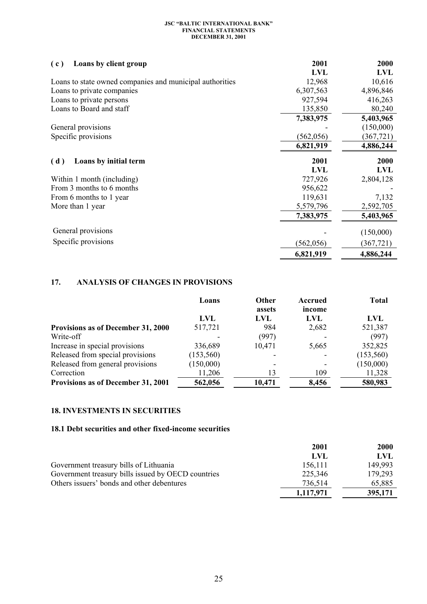| Loans by client group<br>(c)                             | 2001       | 2000       |
|----------------------------------------------------------|------------|------------|
|                                                          | <b>LVL</b> | <b>LVL</b> |
| Loans to state owned companies and municipal authorities | 12,968     | 10,616     |
| Loans to private companies                               | 6,307,563  | 4,896,846  |
| Loans to private persons                                 | 927,594    | 416,263    |
| Loans to Board and staff                                 | 135,850    | 80,240     |
|                                                          | 7,383,975  | 5,403,965  |
| General provisions                                       |            | (150,000)  |
| Specific provisions                                      | (562, 056) | (367, 721) |
|                                                          | 6,821,919  | 4,886,244  |
| Loans by initial term<br>(d)                             | 2001       | 2000       |
|                                                          | <b>LVL</b> | <b>LVL</b> |
| Within 1 month (including)                               | 727,926    | 2,804,128  |
| From 3 months to 6 months                                | 956,622    |            |
| From 6 months to 1 year                                  | 119,631    | 7,132      |
| More than 1 year                                         | 5,579,796  | 2,592,705  |
|                                                          | 7,383,975  | 5,403,965  |
| General provisions                                       |            | (150,000)  |
| Specific provisions                                      | (562, 056) | (367, 721) |
|                                                          | 6,821,919  | 4,886,244  |

# **17. ANALYSIS OF CHANGES IN PROVISIONS**

|                                           | Loans      | <b>Other</b><br>assets | Accrued<br>income | <b>Total</b> |
|-------------------------------------------|------------|------------------------|-------------------|--------------|
|                                           | LVL        | LVL                    | LVL               | <b>LVL</b>   |
| <b>Provisions as of December 31, 2000</b> | 517,721    | 984                    | 2,682             | 521,387      |
| Write-off                                 |            | (997)                  |                   | (997)        |
| Increase in special provisions            | 336,689    | 10,471                 | 5,665             | 352,825      |
| Released from special provisions          | (153, 560) |                        |                   | (153,560)    |
| Released from general provisions          | (150,000)  |                        |                   | (150,000)    |
| Correction                                | 11,206     | 13                     | 109               | 11,328       |
| Provisions as of December 31, 2001        | 562,056    | 10,471                 | 8,456             | 580,983      |

## **18. INVESTMENTS IN SECURITIES**

# **18.1 Debt securities and other fixed-income securities**

|                                                    | 2001      | <b>2000</b> |
|----------------------------------------------------|-----------|-------------|
|                                                    | LVL       | LVL         |
| Government treasury bills of Lithuania             | 156,111   | 149.993     |
| Government treasury bills issued by OECD countries | 225,346   | 179,293     |
| Others issuers' bonds and other debentures         | 736,514   | 65,885      |
|                                                    | 1,117,971 | 395,171     |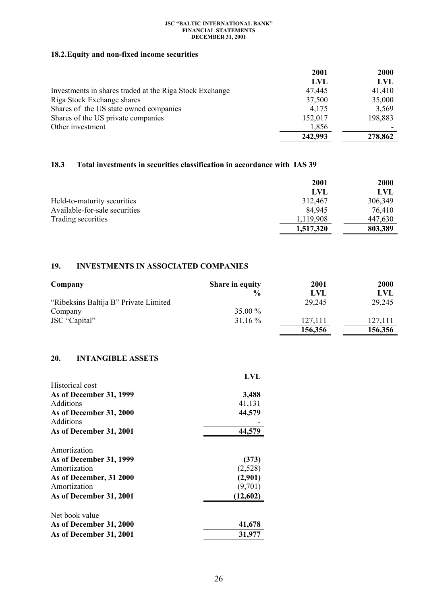# **18.2.Equity and non-fixed income securities**

|                                                         | 2001    | <b>2000</b> |
|---------------------------------------------------------|---------|-------------|
|                                                         | LVL     | <b>LVL</b>  |
| Investments in shares traded at the Riga Stock Exchange | 47,445  | 41,410      |
| Riga Stock Exchange shares                              | 37,500  | 35,000      |
| Shares of the US state owned companies                  | 4,175   | 3,569       |
| Shares of the US private companies                      | 152,017 | 198,883     |
| Other investment                                        | 1,856   |             |
|                                                         | 242,993 | 278,862     |

## **18.3 Total investments in securities classification in accordance with IAS 39**

|                               | 2001      | <b>2000</b> |
|-------------------------------|-----------|-------------|
|                               | LVL       | LVL         |
| Held-to-maturity securities   | 312,467   | 306,349     |
| Available-for-sale securities | 84.945    | 76,410      |
| Trading securities            | 1,119,908 | 447,630     |
|                               | 1,517,320 | 803,389     |

# **19. INVESTMENTS IN ASSOCIATED COMPANIES**

| Company                               | <b>Share in equity</b> | 2001    | <b>2000</b> |
|---------------------------------------|------------------------|---------|-------------|
|                                       | $\frac{0}{0}$          | LVL     | <b>LVL</b>  |
| "Ribeksins Baltija B" Private Limited |                        | 29,245  | 29,245      |
| Company                               | 35.00 %                |         |             |
| JSC "Capital"                         | $31.16\%$              | 127,111 | 127.111     |
|                                       |                        | 156,356 | 156,356     |

# **20. INTANGIBLE ASSETS**

|                         | LVL      |
|-------------------------|----------|
| Historical cost         |          |
| As of December 31, 1999 | 3,488    |
| <b>Additions</b>        | 41,131   |
| As of December 31, 2000 | 44,579   |
| <b>Additions</b>        |          |
| As of December 31, 2001 | 44,579   |
| Amortization            |          |
| As of December 31, 1999 | (373)    |
| Amortization            | (2,528)  |
| As of December, 31 2000 | (2,901)  |
| Amortization            | (9,701)  |
| As of December 31, 2001 | (12,602) |
| Net book value          |          |
| As of December 31, 2000 | 41,678   |
| As of December 31, 2001 | 31,977   |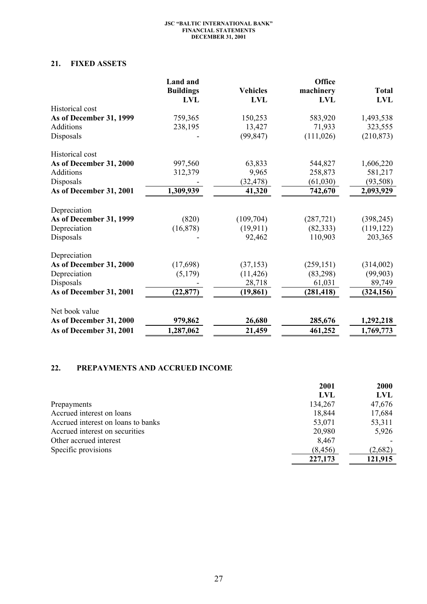## **21. FIXED ASSETS**

|                         | <b>Land</b> and  |                 | Office     |              |
|-------------------------|------------------|-----------------|------------|--------------|
|                         | <b>Buildings</b> | <b>Vehicles</b> | machinery  | <b>Total</b> |
|                         | <b>LVL</b>       | <b>LVL</b>      | <b>LVL</b> | <b>LVL</b>   |
| Historical cost         |                  |                 |            |              |
| As of December 31, 1999 | 759,365          | 150,253         | 583,920    | 1,493,538    |
| <b>Additions</b>        | 238,195          | 13,427          | 71,933     | 323,555      |
| Disposals               |                  | (99, 847)       | (111, 026) | (210, 873)   |
| Historical cost         |                  |                 |            |              |
| As of December 31, 2000 | 997,560          | 63,833          | 544,827    | 1,606,220    |
| <b>Additions</b>        | 312,379          | 9,965           | 258,873    | 581,217      |
| Disposals               |                  | (32, 478)       | (61,030)   | (93, 508)    |
| As of December 31, 2001 | 1,309,939        | 41,320          | 742,670    | 2,093,929    |
| Depreciation            |                  |                 |            |              |
| As of December 31, 1999 | (820)            | (109, 704)      | (287, 721) | (398, 245)   |
| Depreciation            | (16,878)         | (19, 911)       | (82, 333)  | (119, 122)   |
| Disposals               |                  | 92,462          | 110,903    | 203,365      |
| Depreciation            |                  |                 |            |              |
| As of December 31, 2000 |                  | (37, 153)       | (259, 151) | (314,002)    |
| Depreciation            | (5,179)          | (11, 426)       | (83,298)   | (99, 903)    |
| Disposals               |                  | 28,718          | 61,031     | 89,749       |
| As of December 31, 2001 | (22, 877)        | (19, 861)       | (281, 418) | (324, 156)   |
| Net book value          |                  |                 |            |              |
| As of December 31, 2000 | 979,862          | 26,680          | 285,676    | 1,292,218    |
| As of December 31, 2001 | 1,287,062        | 21,459          | 461,252    | 1,769,773    |
|                         | (17, 698)        |                 |            |              |

# **22. PREPAYMENTS AND ACCRUED INCOME**

|                                    | 2001     | <b>2000</b> |
|------------------------------------|----------|-------------|
|                                    | LVL      | <b>LVL</b>  |
| Prepayments                        | 134,267  | 47,676      |
| Accrued interest on loans          | 18,844   | 17,684      |
| Accrued interest on loans to banks | 53,071   | 53,311      |
| Accrued interest on securities     | 20,980   | 5,926       |
| Other accrued interest             | 8,467    |             |
| Specific provisions                | (8, 456) | (2,682)     |
|                                    | 227,173  | 121,915     |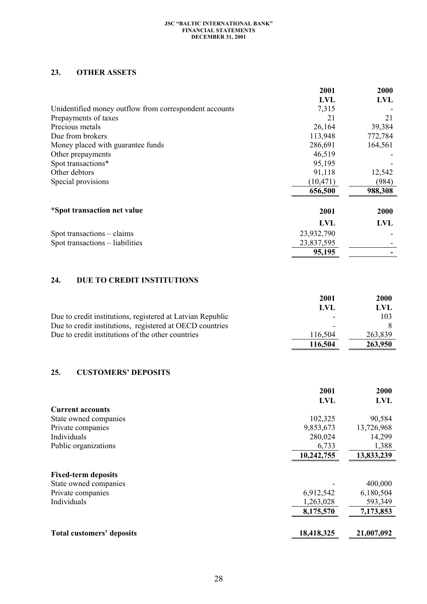# **23. OTHER ASSETS**

|                                                        | 2001       | 2000       |
|--------------------------------------------------------|------------|------------|
|                                                        | <b>LVL</b> | <b>LVL</b> |
| Unidentified money outflow from correspondent accounts | 7,315      |            |
| Prepayments of taxes                                   | 21         | 21         |
| Precious metals                                        | 26,164     | 39,384     |
| Due from brokers                                       | 113,948    | 772,784    |
| Money placed with guarantee funds                      | 286,691    | 164,561    |
| Other prepayments                                      | 46,519     |            |
| Spot transactions*                                     | 95,195     |            |
| Other debtors                                          | 91,118     | 12,542     |
| Special provisions                                     | (10, 471)  | (984)      |
|                                                        | 656,500    | 988,308    |
| *Spot transaction net value                            | 2001       | 2000       |
|                                                        | <b>LVL</b> | <b>LVL</b> |
| Spot transactions – claims                             | 23,932,790 |            |
| Spot transactions – liabilities                        | 23,837,595 |            |
|                                                        | 95,195     |            |

# **24. DUE TO CREDIT INSTITUTIONS**

|                                                            | 2001                     | 2000    |
|------------------------------------------------------------|--------------------------|---------|
|                                                            | LVL                      | LVL     |
| Due to credit institutions, registered at Latvian Republic | $\overline{\phantom{0}}$ | 103     |
| Due to credit institutions, registered at OECD countries   |                          |         |
| Due to credit institutions of the other countries          | 116.504                  | 263,839 |
|                                                            | 116,504                  | 263,950 |

# **25. CUSTOMERS' DEPOSITS**

|                                  | 2001       | 2000       |
|----------------------------------|------------|------------|
|                                  | <b>LVL</b> | <b>LVL</b> |
| <b>Current accounts</b>          |            |            |
| State owned companies            | 102,325    | 90,584     |
| Private companies                | 9,853,673  | 13,726,968 |
| Individuals                      | 280,024    | 14,299     |
| Public organizations             | 6,733      | 1,388      |
|                                  | 10,242,755 | 13,833,239 |
| <b>Fixed-term deposits</b>       |            |            |
| State owned companies            |            | 400,000    |
| Private companies                | 6,912,542  | 6,180,504  |
| Individuals                      | 1,263,028  | 593,349    |
|                                  | 8,175,570  | 7,173,853  |
|                                  |            |            |
| <b>Total customers' deposits</b> | 18,418,325 | 21,007,092 |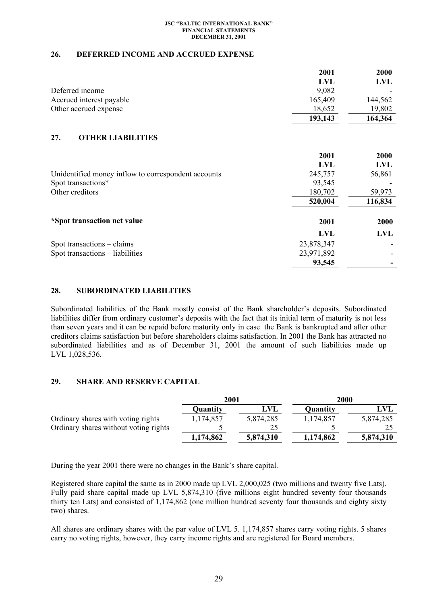### **26. DEFERRED INCOME AND ACCRUED EXPENSE**

|                                                     | 2001       | 2000       |
|-----------------------------------------------------|------------|------------|
|                                                     | <b>LVL</b> | <b>LVL</b> |
| Deferred income                                     | 9,082      |            |
| Accrued interest payable                            | 165,409    | 144,562    |
| Other accrued expense                               | 18,652     | 19,802     |
|                                                     | 193,143    | 164,364    |
| <b>OTHER LIABILITIES</b><br>27.                     |            |            |
|                                                     | 2001       | 2000       |
|                                                     | <b>LVL</b> | <b>LVL</b> |
| Unidentified money inflow to correspondent accounts | 245,757    | 56,861     |
| Spot transactions*                                  | 93,545     |            |
| Other creditors                                     | 180,702    | 59,973     |
|                                                     | 520,004    | 116,834    |
| *Spot transaction net value                         | 2001       | 2000       |
|                                                     | <b>LVL</b> | <b>LVL</b> |
| Spot transactions – claims                          | 23,878,347 |            |
| Spot transactions – liabilities                     | 23,971,892 |            |
|                                                     | 93,545     |            |

### **28. SUBORDINATED LIABILITIES**

Subordinated liabilities of the Bank mostly consist of the Bank shareholder's deposits. Subordinated liabilities differ from ordinary customer's deposits with the fact that its initial term of maturity is not less than seven years and it can be repaid before maturity only in case the Bank is bankrupted and after other creditors claims satisfaction but before shareholders claims satisfaction. In 2001 the Bank has attracted no subordinated liabilities and as of December 31, 2001 the amount of such liabilities made up LVL 1,028,536.

## **29. SHARE AND RESERVE CAPITAL**

|                                       | 2001      |            | <b>2000</b> |           |
|---------------------------------------|-----------|------------|-------------|-----------|
|                                       | Quantity  | <b>LVL</b> | Quantity    | LVL       |
| Ordinary shares with voting rights    | 1,174,857 | 5,874,285  | 1,174,857   | 5,874,285 |
| Ordinary shares without voting rights |           | 25         |             | 25        |
|                                       | 1,174,862 | 5,874,310  | 1,174,862   | 5,874,310 |

During the year 2001 there were no changes in the Bank's share capital.

Registered share capital the same as in 2000 made up LVL 2,000,025 (two millions and twenty five Lats). Fully paid share capital made up LVL 5,874,310 (five millions eight hundred seventy four thousands thirty ten Lats) and consisted of 1,174,862 (one million hundred seventy four thousands and eighty sixty two) shares.

All shares are ordinary shares with the par value of LVL 5. 1,174,857 shares carry voting rights. 5 shares carry no voting rights, however, they carry income rights and are registered for Board members.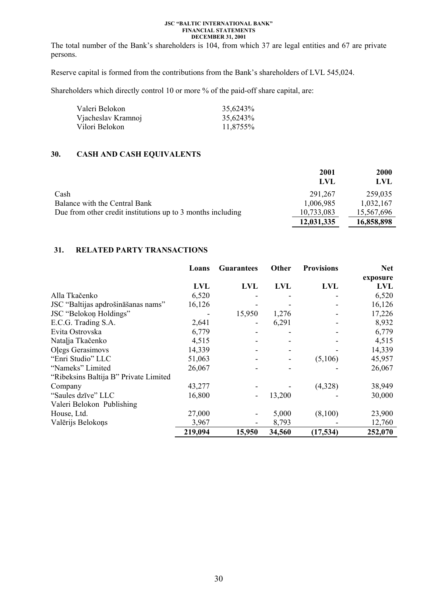The total number of the Bank's shareholders is 104, from which 37 are legal entities and 67 are private persons.

Reserve capital is formed from the contributions from the Bank's shareholders of LVL 545,024.

Shareholders which directly control 10 or more % of the paid-off share capital, are:

| Valeri Belokon     | 35,6243% |
|--------------------|----------|
| Vjacheslav Kramnoj | 35,6243% |
| Vilori Belokon     | 11,8755% |

## **30. CASH AND CASH EQUIVALENTS**

|                                                             | 2001<br>LVL | <b>2000</b><br>LVL |
|-------------------------------------------------------------|-------------|--------------------|
| Cash                                                        | 291,267     | 259,035            |
| Balance with the Central Bank                               | 1,006,985   | 1,032,167          |
| Due from other credit institutions up to 3 months including | 10,733,083  | 15,567,696         |
|                                                             | 12,031,335  | 16,858,898         |

## **31. RELATED PARTY TRANSACTIONS**

|                                       | Loans      | <b>Guarantees</b> | Other      | <b>Provisions</b> | <b>Net</b> |
|---------------------------------------|------------|-------------------|------------|-------------------|------------|
|                                       |            |                   |            |                   | exposure   |
|                                       | <b>LVL</b> | <b>LVL</b>        | <b>LVL</b> | <b>LVL</b>        | <b>LVL</b> |
| Alla Tkačenko                         | 6,520      |                   |            |                   | 6,520      |
| JSC "Baltijas apdrošināšanas nams"    | 16,126     |                   |            |                   | 16,126     |
| JSC "Belokon Holdings"                |            | 15,950            | 1,276      |                   | 17,226     |
| E.C.G. Trading S.A.                   | 2,641      |                   | 6,291      |                   | 8,932      |
| Evita Ostrovska                       | 6,779      |                   |            |                   | 6,779      |
| Natalja Tkačenko                      | 4,515      |                   |            |                   | 4,515      |
| Olegs Gerasimovs                      | 14,339     |                   |            |                   | 14,339     |
| "Enri Studio" LLC                     | 51,063     |                   |            | (5,106)           | 45,957     |
| "Nameks" Limited                      | 26,067     |                   |            |                   | 26,067     |
| "Ribeksins Baltija B" Private Limited |            |                   |            |                   |            |
| Company                               | 43,277     |                   |            | (4,328)           | 38,949     |
| "Saules dzīve" LLC                    | 16,800     | $\overline{a}$    | 13,200     |                   | 30,000     |
| Valeri Belokon Publishing             |            |                   |            |                   |            |
| House, Ltd.                           | 27,000     |                   | 5,000      | (8,100)           | 23,900     |
| Valērijs Belokoņs                     | 3,967      |                   | 8,793      |                   | 12,760     |
|                                       | 219,094    | 15,950            | 34,560     | (17, 534)         | 252,070    |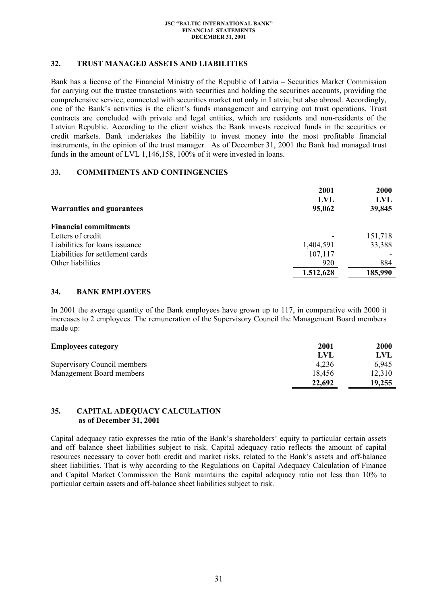## **32. TRUST MANAGED ASSETS AND LIABILITIES**

Bank has a license of the Financial Ministry of the Republic of Latvia – Securities Market Commission for carrying out the trustee transactions with securities and holding the securities accounts, providing the comprehensive service, connected with securities market not only in Latvia, but also abroad. Accordingly, one of the Bank's activities is the client's funds management and carrying out trust operations. Trust contracts are concluded with private and legal entities, which are residents and non-residents of the Latvian Republic. According to the client wishes the Bank invests received funds in the securities or credit markets. Bank undertakes the liability to invest money into the most profitable financial instruments, in the opinion of the trust manager. As of December 31, 2001 the Bank had managed trust funds in the amount of LVL 1,146,158, 100% of it were invested in loans.

## **33. COMMITMENTS AND CONTINGENCIES**

|                                  | 2001      | <b>2000</b> |
|----------------------------------|-----------|-------------|
|                                  | LVL       | LVL         |
| <b>Warranties and guarantees</b> | 95,062    | 39,845      |
| <b>Financial commitments</b>     |           |             |
| Letters of credit                |           | 151,718     |
| Liabilities for loans issuance   | 1,404,591 | 33,388      |
| Liabilities for settlement cards | 107,117   |             |
| Other liabilities                | 920       | 884         |
|                                  | 1,512,628 | 185,990     |

## **34. BANK EMPLOYEES**

In 2001 the average quantity of the Bank employees have grown up to 117, in comparative with 2000 it increases to 2 employees. The remuneration of the Supervisory Council the Management Board members made up:

| <b>Employees category</b>   | <b>2001</b> | <b>2000</b> |
|-----------------------------|-------------|-------------|
|                             | LVI         | UVL         |
| Supervisory Council members | 4.236       | 6.945       |
| Management Board members    | 18,456      | 12.310      |
|                             | 22,692      | 19,255      |

## **35. CAPITAL ADEQUACY CALCULATION as of December 31, 2001**

Capital adequacy ratio expresses the ratio of the Bank's shareholders' equity to particular certain assets and off–balance sheet liabilities subject to risk. Capital adequacy ratio reflects the amount of capital resources necessary to cover both credit and market risks, related to the Bank's assets and off-balance sheet liabilities. That is why according to the Regulations on Capital Adequacy Calculation of Finance and Capital Market Commission the Bank maintains the capital adequacy ratio not less than 10% to particular certain assets and off-balance sheet liabilities subject to risk.